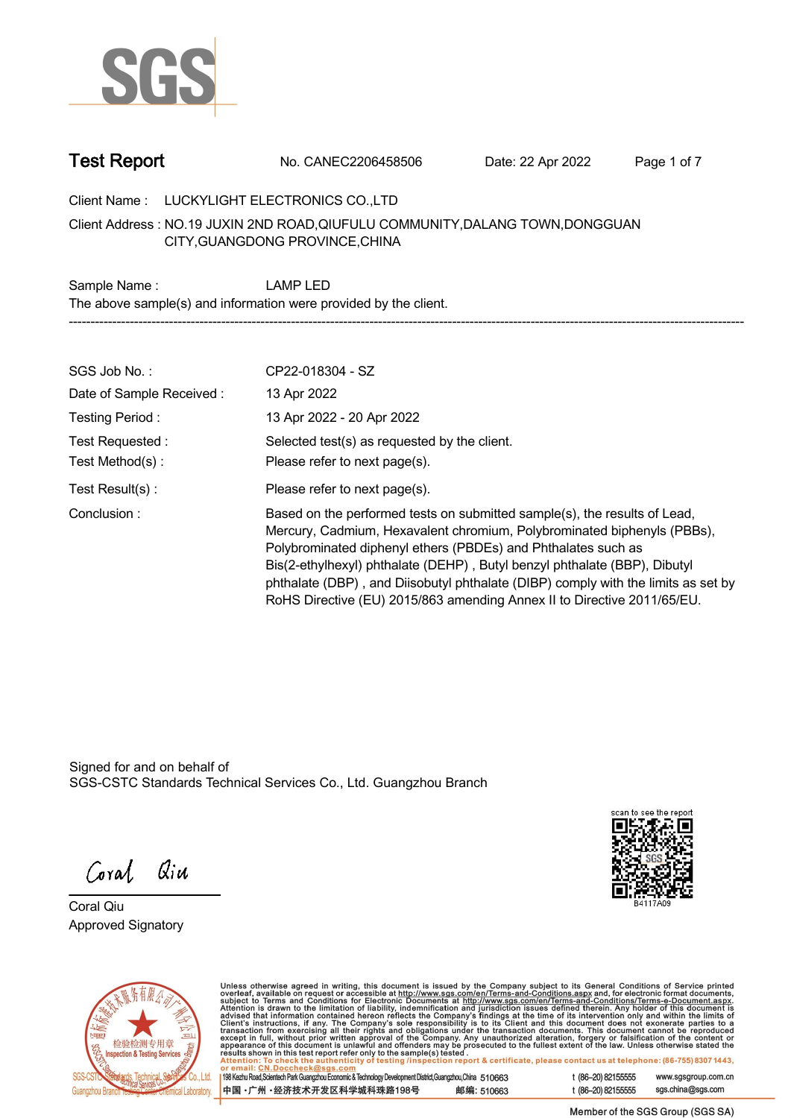

**Test Report. No. CANEC2206458506 . Date: 22 Apr 2022. Page 1 of 7.**

**Client Name : LUCKYLIGHT ELECTRONICS CO.,LTD .**

**NO.19 JUXIN 2ND ROAD,QIUFULU COMMUNITY,DALANG TOWN,DONGGUAN . Client Address : CITY,GUANGDONG PROVINCE,CHINA**

**Sample Name : LAMP LED. The above sample(s) and information were provided by the client. -----------------------------------------------------------------------------------------------------------------------------------------------------------**

| SGS Job No.:             | CP22-018304 - SZ                                                                                                                                                                                                                                                                                                                                                                                                                                                   |
|--------------------------|--------------------------------------------------------------------------------------------------------------------------------------------------------------------------------------------------------------------------------------------------------------------------------------------------------------------------------------------------------------------------------------------------------------------------------------------------------------------|
| Date of Sample Received: | 13 Apr 2022                                                                                                                                                                                                                                                                                                                                                                                                                                                        |
| Testing Period:          | 13 Apr 2022 - 20 Apr 2022                                                                                                                                                                                                                                                                                                                                                                                                                                          |
| Test Requested:          | Selected test(s) as requested by the client.                                                                                                                                                                                                                                                                                                                                                                                                                       |
| Test Method(s):          | Please refer to next page(s).                                                                                                                                                                                                                                                                                                                                                                                                                                      |
| Test Result(s) :         | Please refer to next page(s).                                                                                                                                                                                                                                                                                                                                                                                                                                      |
| Conclusion:              | Based on the performed tests on submitted sample(s), the results of Lead,<br>Mercury, Cadmium, Hexavalent chromium, Polybrominated biphenyls (PBBs),<br>Polybrominated diphenyl ethers (PBDEs) and Phthalates such as<br>Bis(2-ethylhexyl) phthalate (DEHP), Butyl benzyl phthalate (BBP), Dibutyl<br>phthalate (DBP), and Diisobutyl phthalate (DIBP) comply with the limits as set by<br>RoHS Directive (EU) 2015/863 amending Annex II to Directive 2011/65/EU. |

Signed for and on behalf of SGS-CSTC Standards Technical Services Co., Ltd. Guangzhou Branch.

Coral Qiu

**Coral Qiu . Approved Signatory .**





Unless otherwise agreed in writing, this document is issued by the Company subject to its General Conditions of Service printed<br>overleaf, available on request or accessible at http://www.sgs.com/en/Terms-and-Conditions.as

| 198 Kezhu Road, Scientech Park Guangzhou Economic & Technology Development District, Guangzhou, China 510663 |            |
|--------------------------------------------------------------------------------------------------------------|------------|
| 中国・广州・经济技术开发区科学城科珠路198号                                                                                      | 邮编: 510663 |

t (86-20) 82155555 www.sgsgroup.com.cn sgs.china@sgs.com t (86-20) 82155555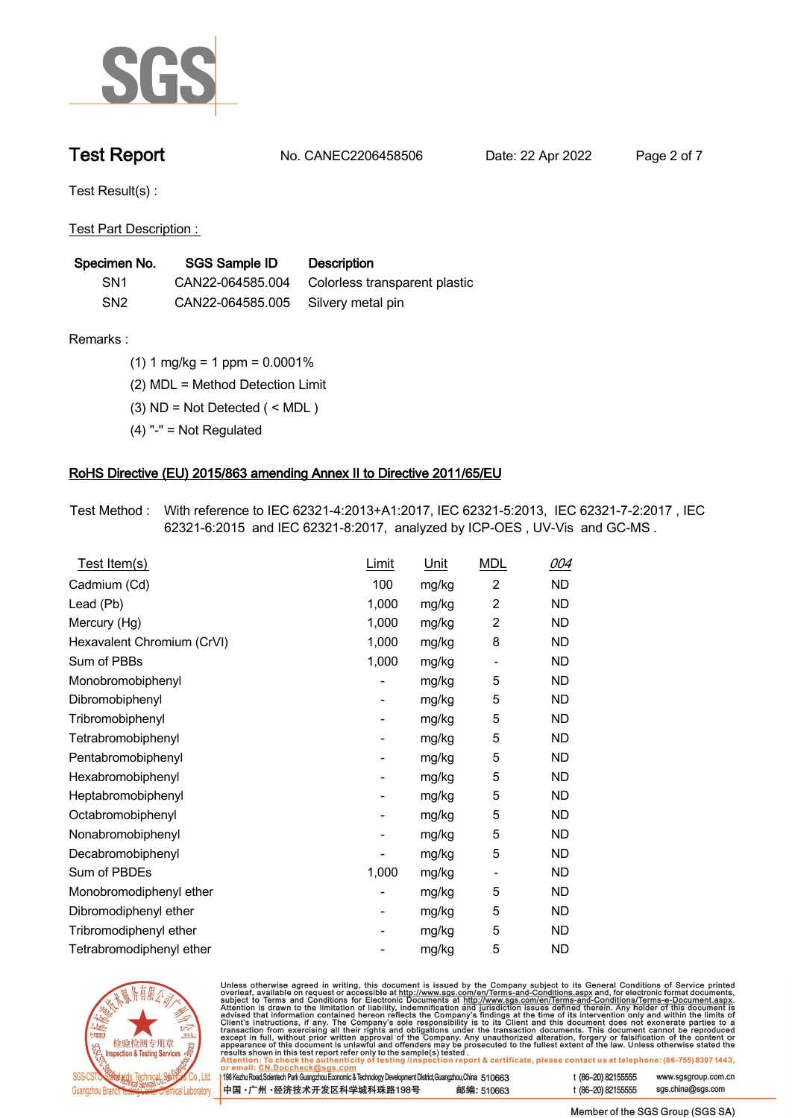

**Test Report. No. CANEC2206458506 . Date: 22 Apr 2022. Page 2 of 7.**

**Test Result(s) :.**

**Test Part Description : .**

| Specimen No.    | SGS Sample ID                      | Description                                    |
|-----------------|------------------------------------|------------------------------------------------|
| SN <sub>1</sub> |                                    | CAN22-064585.004 Colorless transparent plastic |
| SN <sub>2</sub> | CAN22-064585.005 Silvery metal pin |                                                |

- **Remarks :.(1) 1 mg/kg = 1 ppm = 0.0001% .**
	- **(2) MDL = Method Detection Limit .**
	- **(3) ND = Not Detected ( < MDL ) .**
	- **(4) "-" = Not Regulated .**

## **RoHS Directive (EU) 2015/863 amending Annex II to Directive 2011/65/EU.**

**Test Method :. With reference to IEC 62321-4:2013+A1:2017, IEC 62321-5:2013, IEC 62321-7-2:2017 , IEC 62321-6:2015 and IEC 62321-8:2017, analyzed by ICP-OES , UV-Vis and GC-MS . .**

| Test Item(s)               | Limit | Unit  | <b>MDL</b>                   | 004       |
|----------------------------|-------|-------|------------------------------|-----------|
| Cadmium (Cd)               | 100   | mg/kg | $\overline{2}$               | ND        |
| Lead (Pb)                  | 1,000 | mg/kg | $\overline{2}$               | <b>ND</b> |
| Mercury (Hg)               | 1,000 | mg/kg | $\overline{2}$               | <b>ND</b> |
| Hexavalent Chromium (CrVI) | 1,000 | mg/kg | 8                            | <b>ND</b> |
| Sum of PBBs                | 1,000 | mg/kg | $\qquad \qquad \blacksquare$ | <b>ND</b> |
| Monobromobiphenyl          |       | mg/kg | 5                            | ND        |
| Dibromobiphenyl            | -     | mg/kg | 5                            | ND        |
| Tribromobiphenyl           |       | mg/kg | 5                            | <b>ND</b> |
| Tetrabromobiphenyl         |       | mg/kg | 5                            | ND        |
| Pentabromobiphenyl         |       | mg/kg | 5                            | ND        |
| Hexabromobiphenyl          | -     | mg/kg | 5                            | <b>ND</b> |
| Heptabromobiphenyl         |       | mg/kg | 5                            | <b>ND</b> |
| Octabromobiphenyl          |       | mg/kg | 5                            | <b>ND</b> |
| Nonabromobiphenyl          |       | mg/kg | 5                            | <b>ND</b> |
| Decabromobiphenyl          |       | mg/kg | 5                            | ND        |
| Sum of PBDEs               | 1,000 | mg/kg | $\overline{\phantom{a}}$     | <b>ND</b> |
| Monobromodiphenyl ether    |       | mg/kg | 5                            | ND.       |
| Dibromodiphenyl ether      | -     | mg/kg | 5                            | ND.       |
| Tribromodiphenyl ether     |       | mg/kg | 5                            | <b>ND</b> |
| Tetrabromodiphenyl ether   |       | mg/kg | 5                            | <b>ND</b> |



Unless otherwise agreed in writing, this document is issued by the Company subject to its General Conditions of Service printed overleaf, available on request or accessible at http://www.sgs.com/en/Terms-and-Conditions.as

| r email: CN.Doccheck@sgs.com/                                                                                |            |                    |                     |
|--------------------------------------------------------------------------------------------------------------|------------|--------------------|---------------------|
| 198 Kezhu Road,Scientech Park Guangzhou Economic & Technology Development District,Guangzhou,China   51 O663 |            | t (86–20) 82155555 | www.sgsgroup.com.cn |
| 中国 •广州 •经济技术开发区科学城科珠路198号 」                                                                                  | 邮编: 510663 | t (86–20) 82155555 | sgs.china@sgs.com   |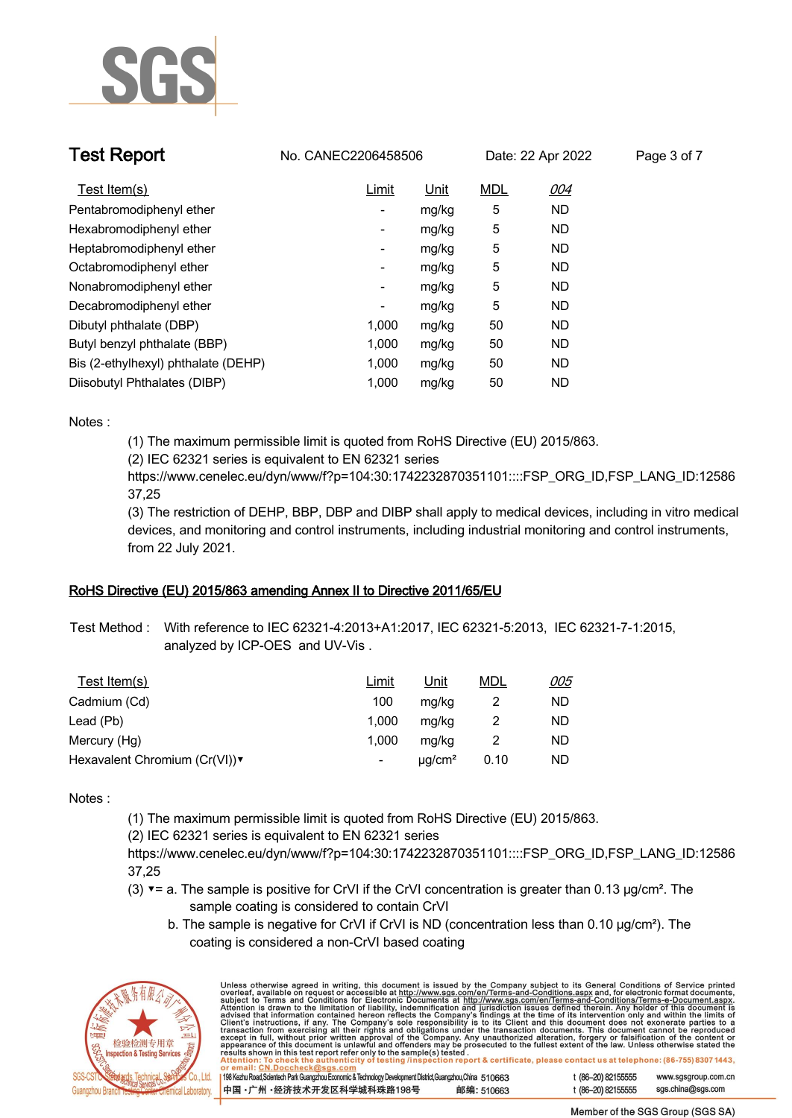

| <b>Test Report</b>                  | No. CANEC2206458506      |       |            | Date: 22 Apr 2022 | Page 3 of 7 |
|-------------------------------------|--------------------------|-------|------------|-------------------|-------------|
| Test Item(s)                        | Limit                    | Unit  | <b>MDL</b> | 004               |             |
| Pentabromodiphenyl ether            | $\overline{\phantom{a}}$ | mg/kg | 5          | ND.               |             |
| Hexabromodiphenyl ether             | $\overline{\phantom{a}}$ | mg/kg | 5          | ND.               |             |
| Heptabromodiphenyl ether            | $\overline{\phantom{a}}$ | mg/kg | 5          | ND.               |             |
| Octabromodiphenyl ether             | $\overline{\phantom{a}}$ | mg/kg | 5          | ND.               |             |
| Nonabromodiphenyl ether             | $\overline{\phantom{a}}$ | mg/kg | 5          | ND.               |             |
| Decabromodiphenyl ether             | -                        | mg/kg | 5          | ND.               |             |
| Dibutyl phthalate (DBP)             | 1,000                    | mg/kg | 50         | ND.               |             |
| Butyl benzyl phthalate (BBP)        | 1.000                    | mg/kg | 50         | ND.               |             |
| Bis (2-ethylhexyl) phthalate (DEHP) | 1.000                    | mg/kg | 50         | ND.               |             |
| Diisobutyl Phthalates (DIBP)        | 1.000                    | mg/kg | 50         | ND                |             |

**Notes :.**

**(1) The maximum permissible limit is quoted from RoHS Directive (EU) 2015/863.**

**(2) IEC 62321 series is equivalent to EN 62321 series**

**https://www.cenelec.eu/dyn/www/f?p=104:30:1742232870351101::::FSP\_ORG\_ID,FSP\_LANG\_ID:12586 37,25**

**(3) The restriction of DEHP, BBP, DBP and DIBP shall apply to medical devices, including in vitro medical devices, and monitoring and control instruments, including industrial monitoring and control instruments, from 22 July 2021..**

### **RoHS Directive (EU) 2015/863 amending Annex II to Directive 2011/65/EU.**

**Test Method :. With reference to IEC 62321-4:2013+A1:2017, IEC 62321-5:2013, IEC 62321-7-1:2015, analyzed by ICP-OES and UV-Vis . .**

| <u>Test Item(s)</u>          | Limit                    | Unit         | MDL  | <u>005</u> |
|------------------------------|--------------------------|--------------|------|------------|
| Cadmium (Cd)                 | 100                      | mg/kg        |      | ND         |
| Lead (Pb)                    | 1.000                    | mg/kg        |      | ND         |
| Mercury (Hg)                 | 1.000                    | mg/kg        |      | ND         |
| Hexavalent Chromium (Cr(VI)) | $\overline{\phantom{a}}$ | $\mu q/cm^2$ | 0.10 | ND.        |

**Notes :.**

**(1) The maximum permissible limit is quoted from RoHS Directive (EU) 2015/863.**

**(2) IEC 62321 series is equivalent to EN 62321 series**

**https://www.cenelec.eu/dyn/www/f?p=104:30:1742232870351101::::FSP\_ORG\_ID,FSP\_LANG\_ID:12586 37,25**

- **(3) ▼= a. The sample is positive for CrVI if the CrVI concentration is greater than 0.13 μg/cm². The sample coating is considered to contain CrVI**
	- **b. The sample is negative for CrVI if CrVI is ND (concentration less than 0.10 μg/cm²). The coating is considered a non-CrVI based coating**



| Unless otherwise agreed in writing, this document is issued by the Company subject to its General Conditions of Service printed<br>overleaf, available on request or accessible at http://www.sgs.com/en/Terms-and-Conditions.aspx and, for electronic format documents,<br>subject to Terms and Conditions for Electronic Documents at http://www.sgs.com/en/Terms-and-Conditions/Terms-e-Document.aspx.<br>Attention is drawn to the limitation of liability, indemnification and jurisdiction issues defined therein. Any holder of this document is<br>advised that information contained hereon reflects the Company's findings at the time of its intervention only and within the limits of<br>Client's instructions, if any. The Company's sole responsibility is to its Client and this document does not exonerate parties to a<br>transaction from exercising all their rights and obligations under the transaction documents. This document cannot be reproduced<br>except in full, without prior written approval of the Company. Any unauthorized alteration, forgery or falsification of the content or<br>appearance of this document is unlawful and offenders may be prosecuted to the fullest extent of the law. Unless otherwise stated the<br>results shown in this test report refer only to the sample(s) tested.<br>Attention: To check the authenticity of testing /inspection report & certificate, please contact us at telephone: (86-755) 8307 1443,<br>or email: CN.Doccheck@sgs.com |                    |                     |
|---------------------------------------------------------------------------------------------------------------------------------------------------------------------------------------------------------------------------------------------------------------------------------------------------------------------------------------------------------------------------------------------------------------------------------------------------------------------------------------------------------------------------------------------------------------------------------------------------------------------------------------------------------------------------------------------------------------------------------------------------------------------------------------------------------------------------------------------------------------------------------------------------------------------------------------------------------------------------------------------------------------------------------------------------------------------------------------------------------------------------------------------------------------------------------------------------------------------------------------------------------------------------------------------------------------------------------------------------------------------------------------------------------------------------------------------------------------------------------------------------------------------|--------------------|---------------------|
| 198 Kezhu Road, Scientech Park Guangzhou Economic & Technology Development District, Guangzhou, China 510663                                                                                                                                                                                                                                                                                                                                                                                                                                                                                                                                                                                                                                                                                                                                                                                                                                                                                                                                                                                                                                                                                                                                                                                                                                                                                                                                                                                                        | t (86-20) 82155555 | www.sgsgroup.com.cn |
| 中国·广州·经济技术开发区科学城科珠路198号<br>邮编: 510663                                                                                                                                                                                                                                                                                                                                                                                                                                                                                                                                                                                                                                                                                                                                                                                                                                                                                                                                                                                                                                                                                                                                                                                                                                                                                                                                                                                                                                                                               | t (86-20) 82155555 | sgs.china@sgs.com   |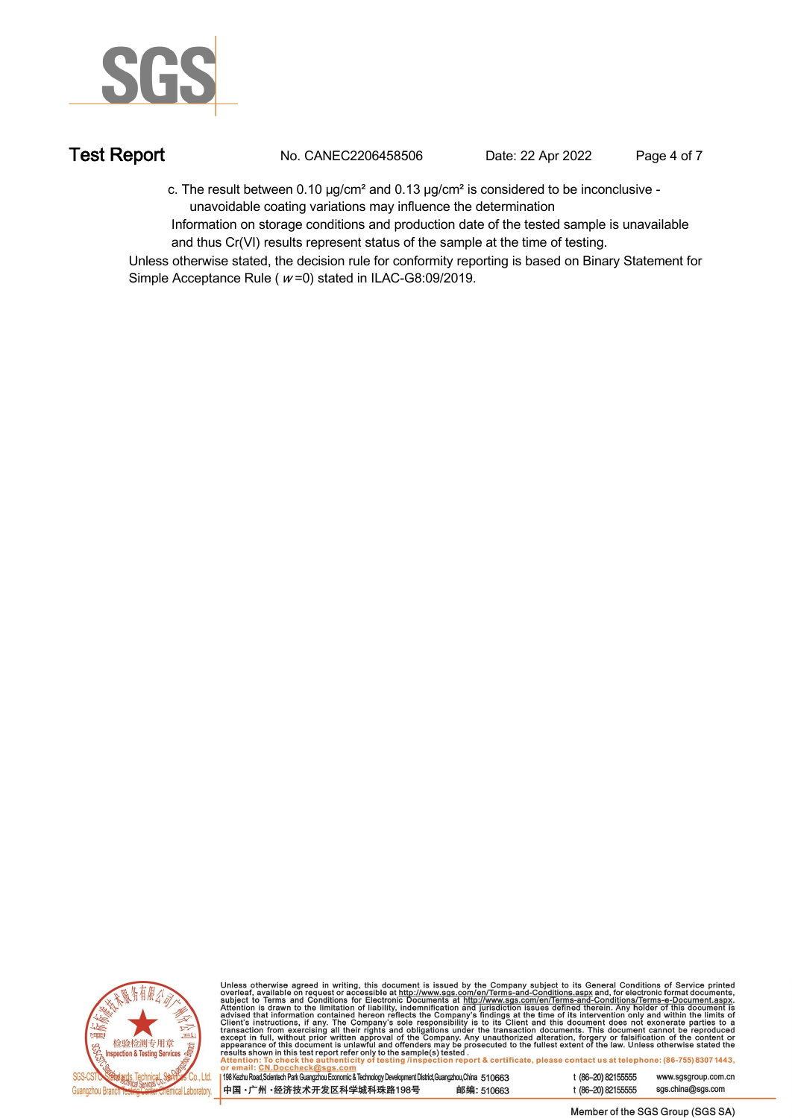

**Test Report. No. CANEC2206458506 . Date: 22 Apr 2022. Page 4 of 7.**

 **c. The result between 0.10 μg/cm² and 0.13 μg/cm² is considered to be inconclusive - unavoidable coating variations may influence the determination** 

 **Information on storage conditions and production date of the tested sample is unavailable and thus Cr(VI) results represent status of the sample at the time of testing. .**

**Unless otherwise stated, the decision rule for conformity reporting is based on Binary Statement for Simple Acceptance Rule ( <sup>w</sup> =0) stated in ILAC-G8:09/2019. .**



Unless otherwise agreed in writing, this document is issued by the Company subject to its General Conditions of Service printed<br>overleaf, available on request or accessible at http://www.sgs.com/en/Terms-and-Conditions.as

| 198 Kezhu Road,Scientech Park Guangzhou Economic & Technology Development District,Guangzhou,China 51 0663 |            |
|------------------------------------------------------------------------------------------------------------|------------|
| 中国 •广州 •经济技术开发区科学城科珠路198号                                                                                  | 邮编: 510663 |

t (86-20) 82155555 www.sgsgroup.com.cn t (86-20) 82155555 sas.china@sas.com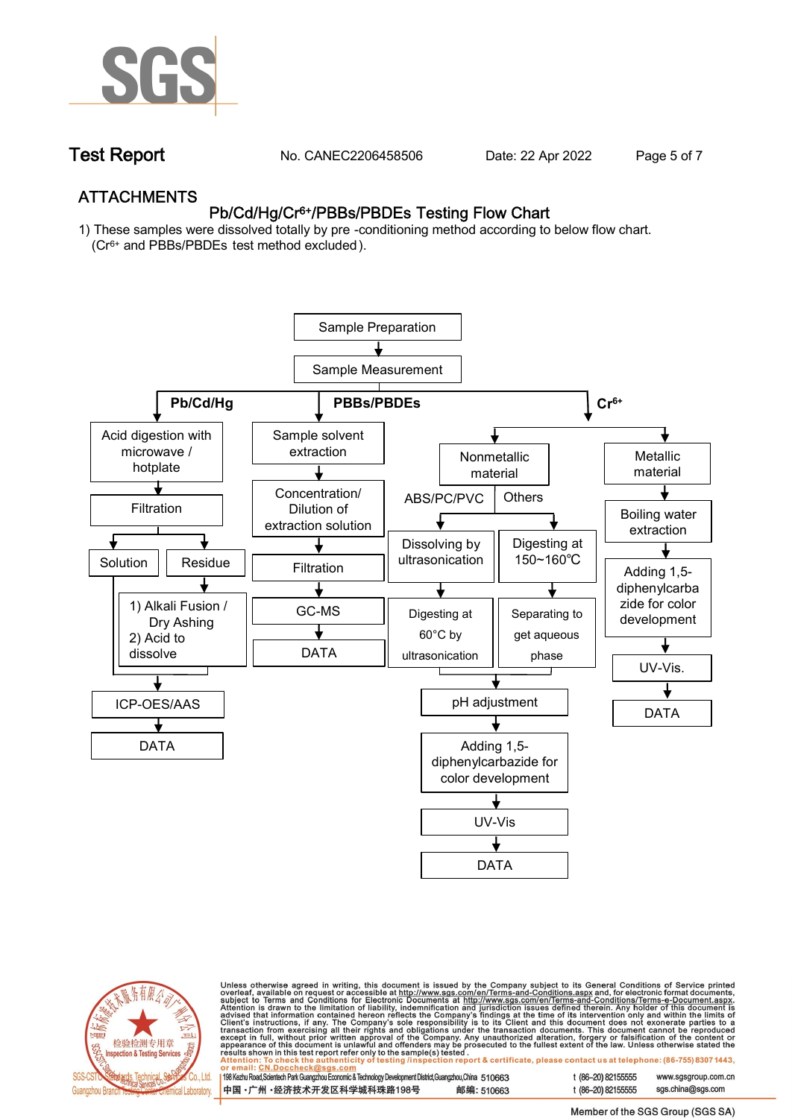

**Test Report. No. CANEC2206458506 . Date: 22 Apr 2022. Page 5 of 7.**

## **ATTACHMENTS Pb/Cd/Hg/Cr6+/PBBs/PBDEs Testing Flow Chart**

**1) These samples were dissolved totally by pre -conditioning method according to below flow chart. (Cr6+ and PBBs/PBDEs test method excluded ).**





Unless otherwise agreed in writing, this document is issued by the Company subject to its General Conditions of Service printed<br>overleaf, available on request or accessible at http://www.sgs.com/en/Terms-and-Conditions.as

| 198 Kezhu Road,Scientech Park Guangzhou Economic & Technology Development District,Guangzhou,China 510663 |            |
|-----------------------------------------------------------------------------------------------------------|------------|
| 中国 •广州 •经济技术开发区科学城科珠路198号                                                                                 | 邮编: 510663 |

t (86-20) 82155555 sas.china@sas.com

www.sgsgroup.com.cn

t (86-20) 82155555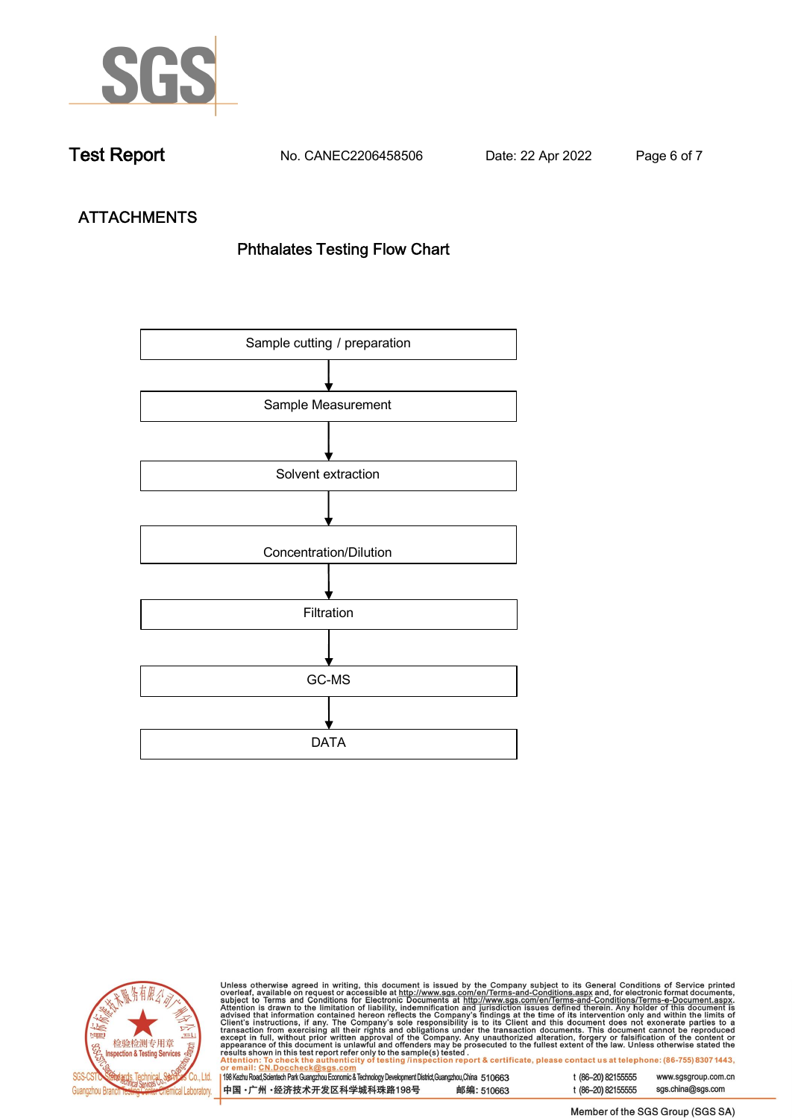

**Test Report. No. CANEC2206458506 . Date: 22 Apr 2022. Page 6 of 7.**

# **ATTACHMENTS Phthalates Testing Flow Chart**





Unless otherwise agreed in writing, this document is issued by the Company subject to its General Conditions of Service printed overleaf, available on request or accessible at http://www.sgs.com/en/Terms-and-Conditions.as

| or email: CN.Doccheck@sus.com                                                                                |            |  |
|--------------------------------------------------------------------------------------------------------------|------------|--|
| 198 Kezhu Road, Scientech Park Guangzhou Economic & Technology Development District, Guangzhou, China 510663 |            |  |
|                                                                                                              |            |  |
|                                                                                                              |            |  |
| 中国 •广州 •经济技术开发区科学城科珠路198号                                                                                    | 邮编: 510663 |  |
|                                                                                                              |            |  |

t (86-20) 82155555 www.sgsgroup.com.cn t (86-20) 82155555 sgs.china@sgs.com